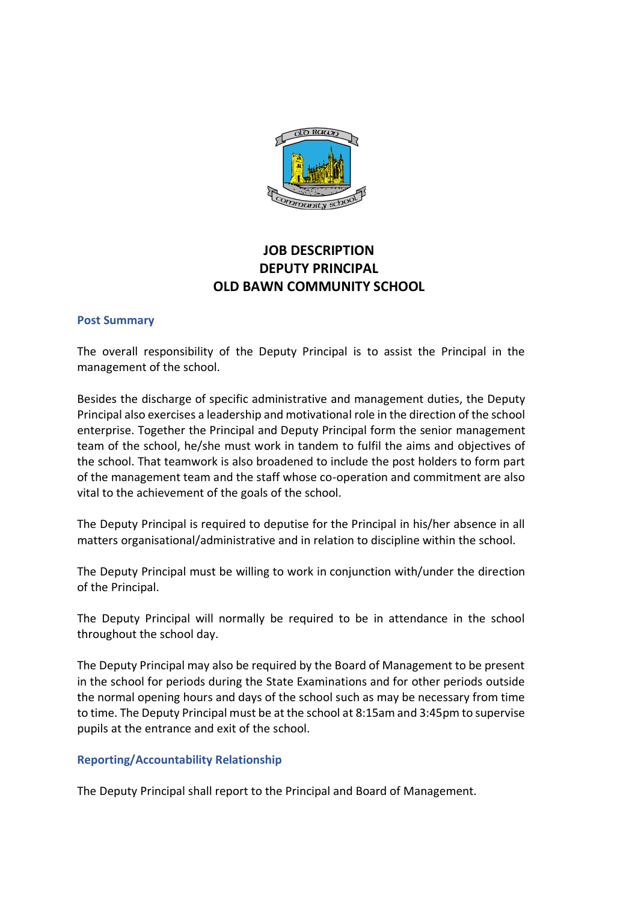

# **JOB DESCRIPTION DEPUTY PRINCIPAL OLD BAWN COMMUNITY SCHOOL**

#### **Post Summary**

The overall responsibility of the Deputy Principal is to assist the Principal in the management of the school.

Besides the discharge of specific administrative and management duties, the Deputy Principal also exercises a leadership and motivational role in the direction of the school enterprise. Together the Principal and Deputy Principal form the senior management team of the school, he/she must work in tandem to fulfil the aims and objectives of the school. That teamwork is also broadened to include the post holders to form part of the management team and the staff whose co-operation and commitment are also vital to the achievement of the goals of the school.

The Deputy Principal is required to deputise for the Principal in his/her absence in all matters organisational/administrative and in relation to discipline within the school.

The Deputy Principal must be willing to work in conjunction with/under the direction of the Principal.

The Deputy Principal will normally be required to be in attendance in the school throughout the school day.

The Deputy Principal may also be required by the Board of Management to be present in the school for periods during the State Examinations and for other periods outside the normal opening hours and days of the school such as may be necessary from time to time. The Deputy Principal must be at the school at 8:15am and 3:45pm to supervise pupils at the entrance and exit of the school.

#### **Reporting/Accountability Relationship**

The Deputy Principal shall report to the Principal and Board of Management.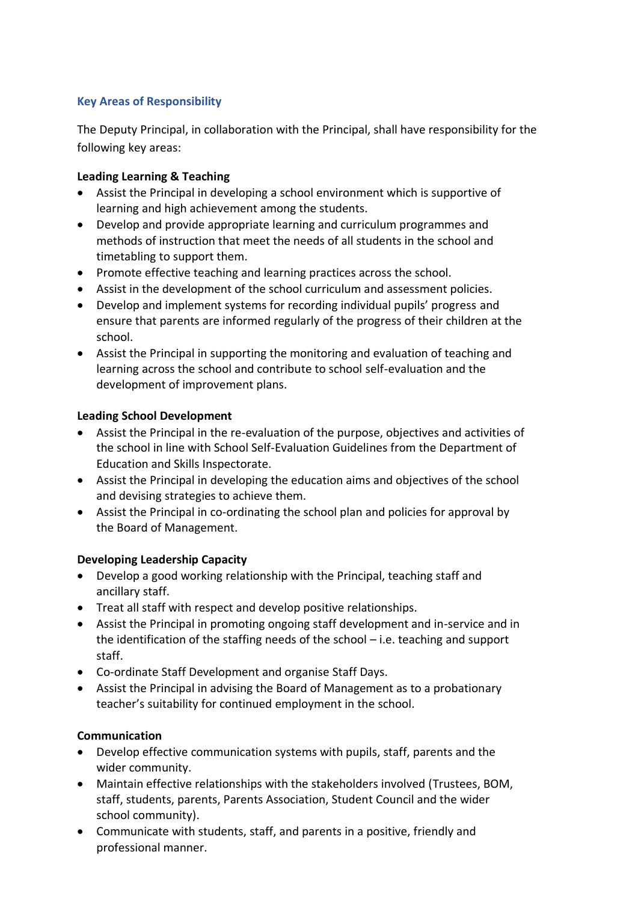#### **Key Areas of Responsibility**

The Deputy Principal, in collaboration with the Principal, shall have responsibility for the following key areas:

#### **Leading Learning & Teaching**

- Assist the Principal in developing a school environment which is supportive of learning and high achievement among the students.
- Develop and provide appropriate learning and curriculum programmes and methods of instruction that meet the needs of all students in the school and timetabling to support them.
- Promote effective teaching and learning practices across the school.
- Assist in the development of the school curriculum and assessment policies.
- Develop and implement systems for recording individual pupils' progress and ensure that parents are informed regularly of the progress of their children at the school.
- Assist the Principal in supporting the monitoring and evaluation of teaching and learning across the school and contribute to school self-evaluation and the development of improvement plans.

### **Leading School Development**

- Assist the Principal in the re-evaluation of the purpose, objectives and activities of the school in line with School Self-Evaluation Guidelines from the Department of Education and Skills Inspectorate.
- Assist the Principal in developing the education aims and objectives of the school and devising strategies to achieve them.
- Assist the Principal in co-ordinating the school plan and policies for approval by the Board of Management.

# **Developing Leadership Capacity**

- Develop a good working relationship with the Principal, teaching staff and ancillary staff.
- Treat all staff with respect and develop positive relationships.
- Assist the Principal in promoting ongoing staff development and in-service and in the identification of the staffing needs of the school – i.e. teaching and support staff.
- Co-ordinate Staff Development and organise Staff Days.
- Assist the Principal in advising the Board of Management as to a probationary teacher's suitability for continued employment in the school.

#### **Communication**

- Develop effective communication systems with pupils, staff, parents and the wider community.
- Maintain effective relationships with the stakeholders involved (Trustees, BOM, staff, students, parents, Parents Association, Student Council and the wider school community).
- Communicate with students, staff, and parents in a positive, friendly and professional manner.